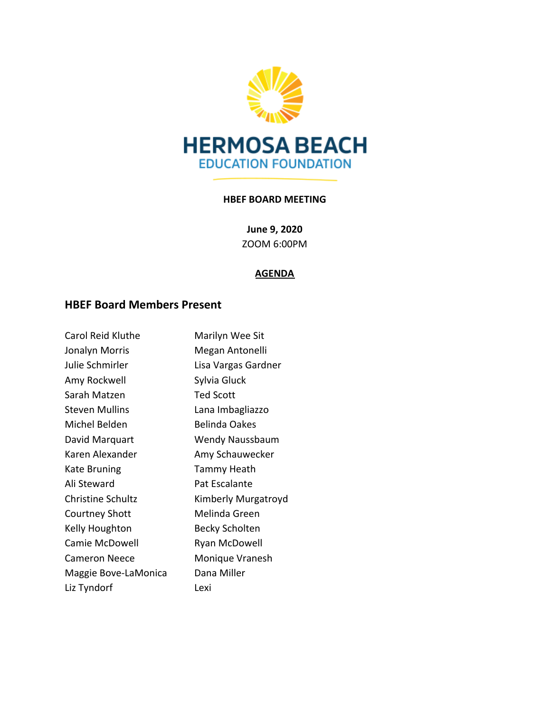

#### **HBEF BOARD MEETING**

**June 9, 2020** ZOOM 6:00PM

#### **AGENDA**

# **HBEF Board Members Present**

| <b>Carol Reid Kluthe</b> | Marilyn Wee Sit      |
|--------------------------|----------------------|
| Jonalyn Morris           | Megan Antonelli      |
| Julie Schmirler          | Lisa Vargas Gardner  |
| Amy Rockwell             | Sylvia Gluck         |
| Sarah Matzen             | <b>Ted Scott</b>     |
| <b>Steven Mullins</b>    | Lana Imbagliazzo     |
| Michel Belden            | <b>Belinda Oakes</b> |
| David Marquart           | Wendy Naussbaum      |
| Karen Alexander          | Amy Schauwecker      |
| Kate Bruning             | Tammy Heath          |
| Ali Steward              | Pat Escalante        |
| <b>Christine Schultz</b> | Kimberly Murgatroyd  |
| <b>Courtney Shott</b>    | Melinda Green        |
| Kelly Houghton           | Becky Scholten       |
| Camie McDowell           | Ryan McDowell        |
| <b>Cameron Neece</b>     | Monique Vranesh      |
| Maggie Bove-LaMonica     | Dana Miller          |
| Liz Tyndorf              | Lexi                 |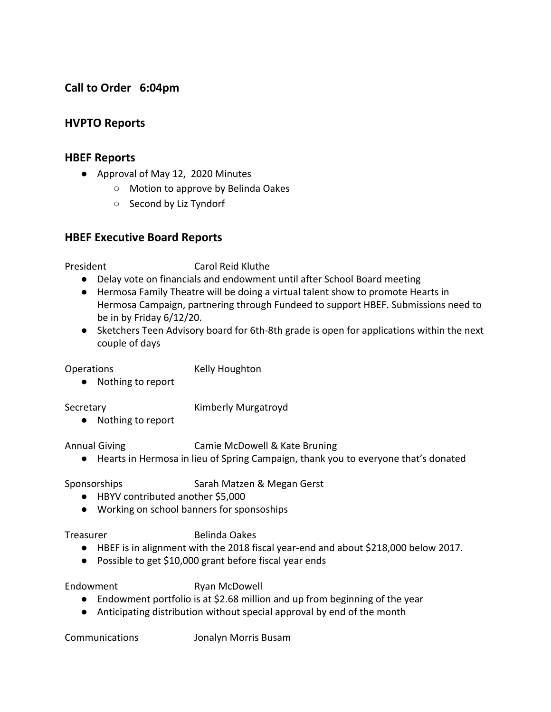# **Call to Order 6:04pm**

### **HVPTO Reports**

#### **HBEF Reports**

- Approval of May 12, 2020 Minutes
	- Motion to approve by Belinda Oakes
	- Second by Liz Tyndorf

#### **HBEF Executive Board Reports**

President Carol Reid Kluthe

- Delay vote on financials and endowment until after School Board meeting
- Hermosa Family Theatre will be doing a virtual talent show to promote Hearts in Hermosa Campaign, partnering through Fundeed to support HBEF. Submissions need to be in by Friday 6/12/20.
- Sketchers Teen Advisory board for 6th-8th grade is open for applications within the next couple of days

Operations Kelly Houghton

● Nothing to report

Secretary **Kimberly Murgatroyd** 

● Nothing to report

Annual Giving Camie McDowell & Kate Bruning

● Hearts in Hermosa in lieu of Spring Campaign, thank you to everyone that's donated

Sponsorships Sarah Matzen & Megan Gerst

- HBYV contributed another \$5,000
- Working on school banners for sponsoships

Treasurer Belinda Oakes

- HBEF is in alignment with the 2018 fiscal year-end and about \$218,000 below 2017.
- Possible to get \$10,000 grant before fiscal year ends

Endowment Ryan McDowell

- Endowment portfolio is at \$2.68 million and up from beginning of the year
- Anticipating distribution without special approval by end of the month

Communications Jonalyn Morris Busam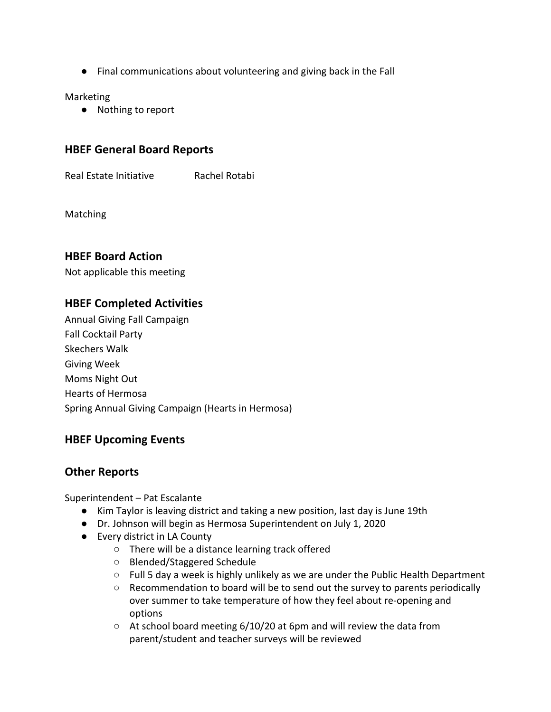● Final communications about volunteering and giving back in the Fall

Marketing

● Nothing to report

## **HBEF General Board Reports**

Real Estate Initiative Rachel Rotabi

Matching

### **HBEF Board Action**

Not applicable this meeting

## **HBEF Completed Activities**

Annual Giving Fall Campaign Fall Cocktail Party Skechers Walk Giving Week Moms Night Out Hearts of Hermosa Spring Annual Giving Campaign (Hearts in Hermosa)

### **HBEF Upcoming Events**

### **Other Reports**

Superintendent – Pat Escalante

- Kim Taylor is leaving district and taking a new position, last day is June 19th
- Dr. Johnson will begin as Hermosa Superintendent on July 1, 2020
- Every district in LA County
	- There will be a distance learning track offered
	- Blended/Staggered Schedule
	- Full 5 day a week is highly unlikely as we are under the Public Health Department
	- Recommendation to board will be to send out the survey to parents periodically over summer to take temperature of how they feel about re-opening and options
	- $\circ$  At school board meeting 6/10/20 at 6pm and will review the data from parent/student and teacher surveys will be reviewed